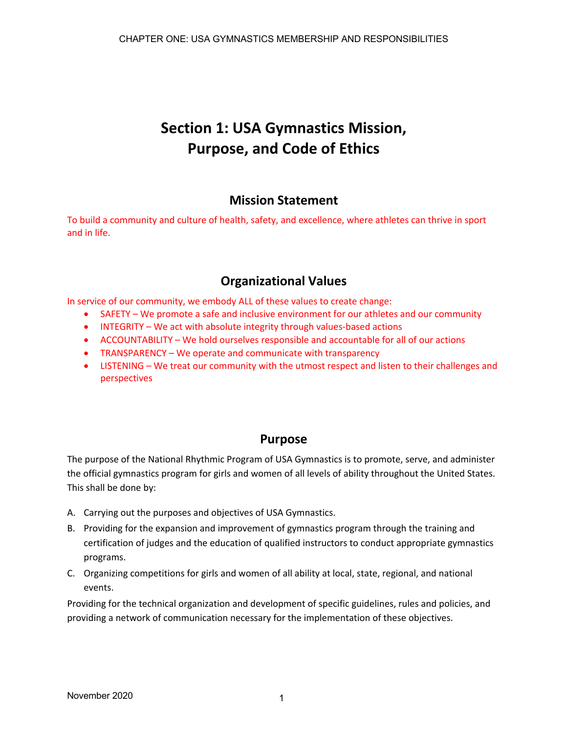# **Section 1: USA Gymnastics Mission, Purpose, and Code of Ethics**

# **Mission Statement**

To build a community and culture of health, safety, and excellence, where athletes can thrive in sport and in life.

# **Organizational Values**

In service of our community, we embody ALL of these values to create change:

- SAFETY We promote a safe and inclusive environment for our athletes and our community
- INTEGRITY We act with absolute integrity through values-based actions
- ACCOUNTABILITY We hold ourselves responsible and accountable for all of our actions
- TRANSPARENCY We operate and communicate with transparency
- LISTENING We treat our community with the utmost respect and listen to their challenges and perspectives

# **Purpose**

The purpose of the National Rhythmic Program of USA Gymnastics is to promote, serve, and administer the official gymnastics program for girls and women of all levels of ability throughout the United States. This shall be done by:

- A. Carrying out the purposes and objectives of USA Gymnastics.
- B. Providing for the expansion and improvement of gymnastics program through the training and certification of judges and the education of qualified instructors to conduct appropriate gymnastics programs.
- C. Organizing competitions for girls and women of all ability at local, state, regional, and national events.

Providing for the technical organization and development of specific guidelines, rules and policies, and providing a network of communication necessary for the implementation of these objectives.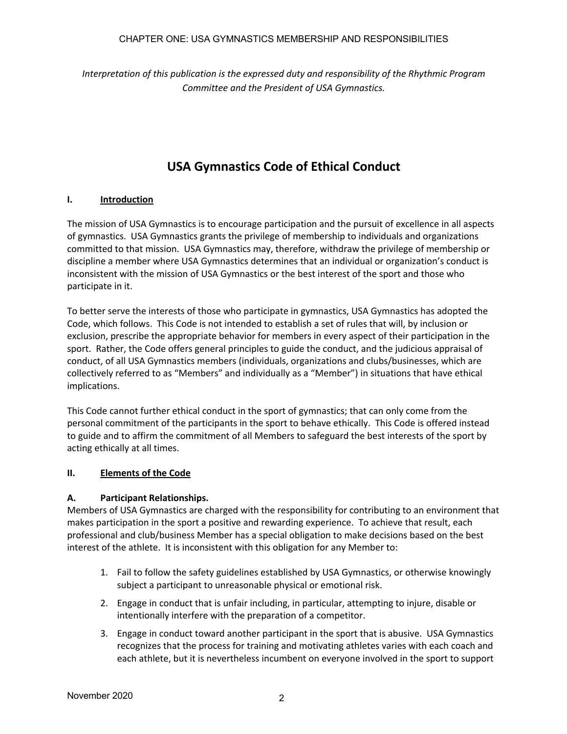#### CHAPTER ONE: USA GYMNASTICS MEMBERSHIP AND RESPONSIBILITIES

*Interpretation of this publication is the expressed duty and responsibility of the Rhythmic Program Committee and the President of USA Gymnastics.*

# **USA Gymnastics Code of Ethical Conduct**

#### **I. Introduction**

The mission of USA Gymnastics is to encourage participation and the pursuit of excellence in all aspects of gymnastics. USA Gymnastics grants the privilege of membership to individuals and organizations committed to that mission. USA Gymnastics may, therefore, withdraw the privilege of membership or discipline a member where USA Gymnastics determines that an individual or organization's conduct is inconsistent with the mission of USA Gymnastics or the best interest of the sport and those who participate in it.

To better serve the interests of those who participate in gymnastics, USA Gymnastics has adopted the Code, which follows. This Code is not intended to establish a set of rules that will, by inclusion or exclusion, prescribe the appropriate behavior for members in every aspect of their participation in the sport. Rather, the Code offers general principles to guide the conduct, and the judicious appraisal of conduct, of all USA Gymnastics members (individuals, organizations and clubs/businesses, which are collectively referred to as "Members" and individually as a "Member") in situations that have ethical implications.

This Code cannot further ethical conduct in the sport of gymnastics; that can only come from the personal commitment of the participants in the sport to behave ethically. This Code is offered instead to guide and to affirm the commitment of all Members to safeguard the best interests of the sport by acting ethically at all times.

#### **II. Elements of the Code**

#### **A. Participant Relationships.**

Members of USA Gymnastics are charged with the responsibility for contributing to an environment that makes participation in the sport a positive and rewarding experience. To achieve that result, each professional and club/business Member has a special obligation to make decisions based on the best interest of the athlete. It is inconsistent with this obligation for any Member to:

- 1. Fail to follow the safety guidelines established by USA Gymnastics, or otherwise knowingly subject a participant to unreasonable physical or emotional risk.
- 2. Engage in conduct that is unfair including, in particular, attempting to injure, disable or intentionally interfere with the preparation of a competitor.
- 3. Engage in conduct toward another participant in the sport that is abusive. USA Gymnastics recognizes that the process for training and motivating athletes varies with each coach and each athlete, but it is nevertheless incumbent on everyone involved in the sport to support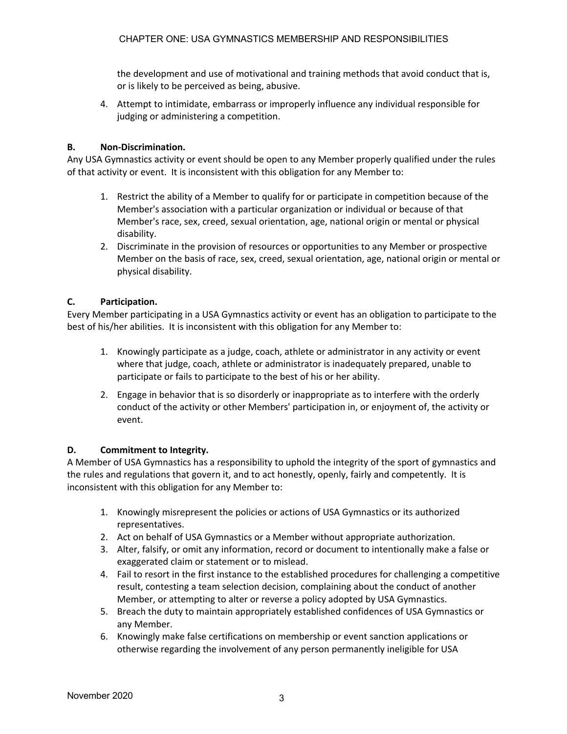the development and use of motivational and training methods that avoid conduct that is, or is likely to be perceived as being, abusive.

4. Attempt to intimidate, embarrass or improperly influence any individual responsible for judging or administering a competition.

#### **B. Non-Discrimination.**

Any USA Gymnastics activity or event should be open to any Member properly qualified under the rules of that activity or event. It is inconsistent with this obligation for any Member to:

- 1. Restrict the ability of a Member to qualify for or participate in competition because of the Member's association with a particular organization or individual or because of that Member's race, sex, creed, sexual orientation, age, national origin or mental or physical disability.
- 2. Discriminate in the provision of resources or opportunities to any Member or prospective Member on the basis of race, sex, creed, sexual orientation, age, national origin or mental or physical disability.

#### **C. Participation.**

Every Member participating in a USA Gymnastics activity or event has an obligation to participate to the best of his/her abilities. It is inconsistent with this obligation for any Member to:

- 1. Knowingly participate as a judge, coach, athlete or administrator in any activity or event where that judge, coach, athlete or administrator is inadequately prepared, unable to participate or fails to participate to the best of his or her ability.
- 2. Engage in behavior that is so disorderly or inappropriate as to interfere with the orderly conduct of the activity or other Members' participation in, or enjoyment of, the activity or event.

#### **D. Commitment to Integrity.**

A Member of USA Gymnastics has a responsibility to uphold the integrity of the sport of gymnastics and the rules and regulations that govern it, and to act honestly, openly, fairly and competently. It is inconsistent with this obligation for any Member to:

- 1. Knowingly misrepresent the policies or actions of USA Gymnastics or its authorized representatives.
- 2. Act on behalf of USA Gymnastics or a Member without appropriate authorization.
- 3. Alter, falsify, or omit any information, record or document to intentionally make a false or exaggerated claim or statement or to mislead.
- 4. Fail to resort in the first instance to the established procedures for challenging a competitive result, contesting a team selection decision, complaining about the conduct of another Member, or attempting to alter or reverse a policy adopted by USA Gymnastics.
- 5. Breach the duty to maintain appropriately established confidences of USA Gymnastics or any Member.
- 6. Knowingly make false certifications on membership or event sanction applications or otherwise regarding the involvement of any person permanently ineligible for USA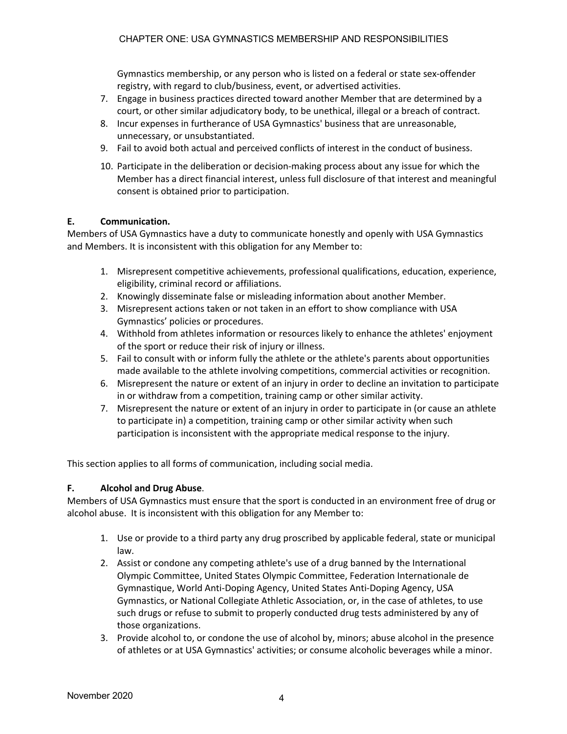Gymnastics membership, or any person who is listed on a federal or state sex-offender registry, with regard to club/business, event, or advertised activities.

- 7. Engage in business practices directed toward another Member that are determined by a court, or other similar adjudicatory body, to be unethical, illegal or a breach of contract.
- 8. Incur expenses in furtherance of USA Gymnastics' business that are unreasonable, unnecessary, or unsubstantiated.
- 9. Fail to avoid both actual and perceived conflicts of interest in the conduct of business.
- 10. Participate in the deliberation or decision-making process about any issue for which the Member has a direct financial interest, unless full disclosure of that interest and meaningful consent is obtained prior to participation.

#### **E. Communication.**

Members of USA Gymnastics have a duty to communicate honestly and openly with USA Gymnastics and Members. It is inconsistent with this obligation for any Member to:

- 1. Misrepresent competitive achievements, professional qualifications, education, experience, eligibility, criminal record or affiliations.
- 2. Knowingly disseminate false or misleading information about another Member.
- 3. Misrepresent actions taken or not taken in an effort to show compliance with USA Gymnastics' policies or procedures.
- 4. Withhold from athletes information or resources likely to enhance the athletes' enjoyment of the sport or reduce their risk of injury or illness.
- 5. Fail to consult with or inform fully the athlete or the athlete's parents about opportunities made available to the athlete involving competitions, commercial activities or recognition.
- 6. Misrepresent the nature or extent of an injury in order to decline an invitation to participate in or withdraw from a competition, training camp or other similar activity.
- 7. Misrepresent the nature or extent of an injury in order to participate in (or cause an athlete to participate in) a competition, training camp or other similar activity when such participation is inconsistent with the appropriate medical response to the injury.

This section applies to all forms of communication, including social media.

#### **F. Alcohol and Drug Abuse**.

Members of USA Gymnastics must ensure that the sport is conducted in an environment free of drug or alcohol abuse. It is inconsistent with this obligation for any Member to:

- 1. Use or provide to a third party any drug proscribed by applicable federal, state or municipal law.
- 2. Assist or condone any competing athlete's use of a drug banned by the International Olympic Committee, United States Olympic Committee, Federation Internationale de Gymnastique, World Anti-Doping Agency, United States Anti-Doping Agency, USA Gymnastics, or National Collegiate Athletic Association, or, in the case of athletes, to use such drugs or refuse to submit to properly conducted drug tests administered by any of those organizations.
- 3. Provide alcohol to, or condone the use of alcohol by, minors; abuse alcohol in the presence of athletes or at USA Gymnastics' activities; or consume alcoholic beverages while a minor.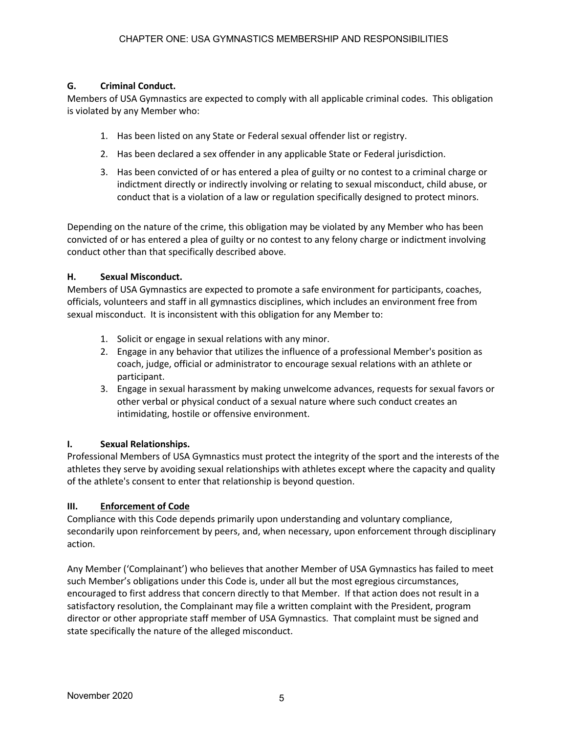### **G. Criminal Conduct.**

Members of USA Gymnastics are expected to comply with all applicable criminal codes. This obligation is violated by any Member who:

- 1. Has been listed on any State or Federal sexual offender list or registry.
- 2. Has been declared a sex offender in any applicable State or Federal jurisdiction.
- 3. Has been convicted of or has entered a plea of guilty or no contest to a criminal charge or indictment directly or indirectly involving or relating to sexual misconduct, child abuse, or conduct that is a violation of a law or regulation specifically designed to protect minors.

Depending on the nature of the crime, this obligation may be violated by any Member who has been convicted of or has entered a plea of guilty or no contest to any felony charge or indictment involving conduct other than that specifically described above.

#### **H. Sexual Misconduct.**

Members of USA Gymnastics are expected to promote a safe environment for participants, coaches, officials, volunteers and staff in all gymnastics disciplines, which includes an environment free from sexual misconduct. It is inconsistent with this obligation for any Member to:

- 1. Solicit or engage in sexual relations with any minor.
- 2. Engage in any behavior that utilizes the influence of a professional Member's position as coach, judge, official or administrator to encourage sexual relations with an athlete or participant.
- 3. Engage in sexual harassment by making unwelcome advances, requests for sexual favors or other verbal or physical conduct of a sexual nature where such conduct creates an intimidating, hostile or offensive environment.

# **I. Sexual Relationships.**

Professional Members of USA Gymnastics must protect the integrity of the sport and the interests of the athletes they serve by avoiding sexual relationships with athletes except where the capacity and quality of the athlete's consent to enter that relationship is beyond question.

#### **III. Enforcement of Code**

Compliance with this Code depends primarily upon understanding and voluntary compliance, secondarily upon reinforcement by peers, and, when necessary, upon enforcement through disciplinary action.

Any Member ('Complainant') who believes that another Member of USA Gymnastics has failed to meet such Member's obligations under this Code is, under all but the most egregious circumstances, encouraged to first address that concern directly to that Member. If that action does not result in a satisfactory resolution, the Complainant may file a written complaint with the President, program director or other appropriate staff member of USA Gymnastics. That complaint must be signed and state specifically the nature of the alleged misconduct.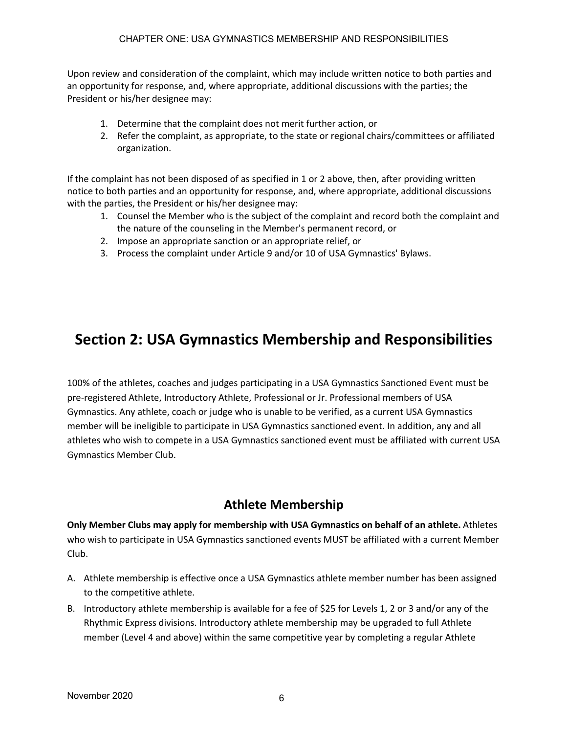Upon review and consideration of the complaint, which may include written notice to both parties and an opportunity for response, and, where appropriate, additional discussions with the parties; the President or his/her designee may:

- 1. Determine that the complaint does not merit further action, or
- 2. Refer the complaint, as appropriate, to the state or regional chairs/committees or affiliated organization.

If the complaint has not been disposed of as specified in 1 or 2 above, then, after providing written notice to both parties and an opportunity for response, and, where appropriate, additional discussions with the parties, the President or his/her designee may:

- 1. Counsel the Member who is the subject of the complaint and record both the complaint and the nature of the counseling in the Member's permanent record, or
- 2. Impose an appropriate sanction or an appropriate relief, or
- 3. Process the complaint under Article 9 and/or 10 of USA Gymnastics' Bylaws.

# **Section 2: USA Gymnastics Membership and Responsibilities**

100% of the athletes, coaches and judges participating in a USA Gymnastics Sanctioned Event must be pre-registered Athlete, Introductory Athlete, Professional or Jr. Professional members of USA Gymnastics. Any athlete, coach or judge who is unable to be verified, as a current USA Gymnastics member will be ineligible to participate in USA Gymnastics sanctioned event. In addition, any and all athletes who wish to compete in a USA Gymnastics sanctioned event must be affiliated with current USA Gymnastics Member Club.

# **Athlete Membership**

**Only Member Clubs may apply for membership with USA Gymnastics on behalf of an athlete.** Athletes who wish to participate in USA Gymnastics sanctioned events MUST be affiliated with a current Member Club.

- A. Athlete membership is effective once a USA Gymnastics athlete member number has been assigned to the competitive athlete.
- B. Introductory athlete membership is available for a fee of \$25 for Levels 1, 2 or 3 and/or any of the Rhythmic Express divisions. Introductory athlete membership may be upgraded to full Athlete member (Level 4 and above) within the same competitive year by completing a regular Athlete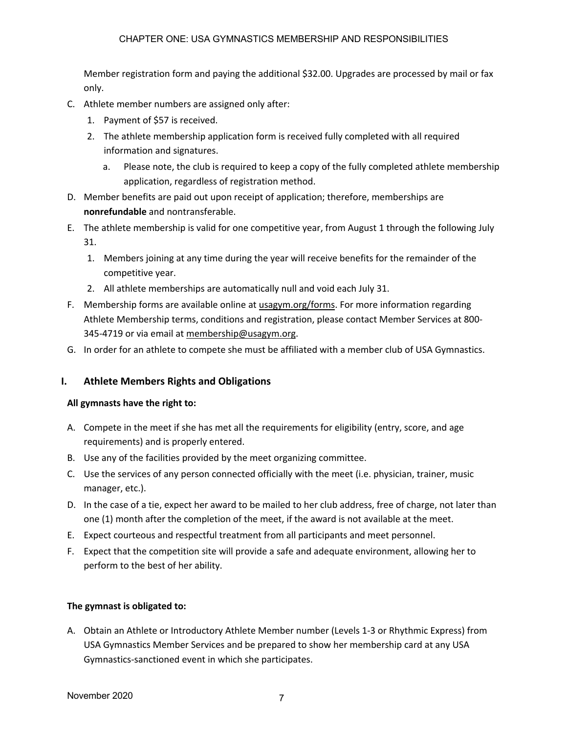Member registration form and paying the additional \$32.00. Upgrades are processed by mail or fax only.

- C. Athlete member numbers are assigned only after:
	- 1. Payment of \$57 is received.
	- 2. The athlete membership application form is received fully completed with all required information and signatures.
		- a. Please note, the club is required to keep a copy of the fully completed athlete membership application, regardless of registration method.
- D. Member benefits are paid out upon receipt of application; therefore, memberships are **nonrefundable** and nontransferable.
- E. The athlete membership is valid for one competitive year, from August 1 through the following July 31.
	- 1. Members joining at any time during the year will receive benefits for the remainder of the competitive year.
	- 2. All athlete memberships are automatically null and void each July 31.
- F. Membership forms are available online at usagym.org/forms. For more information regarding Athlete Membership terms, conditions and registration, please contact Member Services at 800- 345-4719 or via email at membership@usagym.org.
- G. In order for an athlete to compete she must be affiliated with a member club of USA Gymnastics.

# **I. Athlete Members Rights and Obligations**

#### **All gymnasts have the right to:**

- A. Compete in the meet if she has met all the requirements for eligibility (entry, score, and age requirements) and is properly entered.
- B. Use any of the facilities provided by the meet organizing committee.
- C. Use the services of any person connected officially with the meet (i.e. physician, trainer, music manager, etc.).
- D. In the case of a tie, expect her award to be mailed to her club address, free of charge, not later than one (1) month after the completion of the meet, if the award is not available at the meet.
- E. Expect courteous and respectful treatment from all participants and meet personnel.
- F. Expect that the competition site will provide a safe and adequate environment, allowing her to perform to the best of her ability.

#### **The gymnast is obligated to:**

A. Obtain an Athlete or Introductory Athlete Member number (Levels 1-3 or Rhythmic Express) from USA Gymnastics Member Services and be prepared to show her membership card at any USA Gymnastics-sanctioned event in which she participates.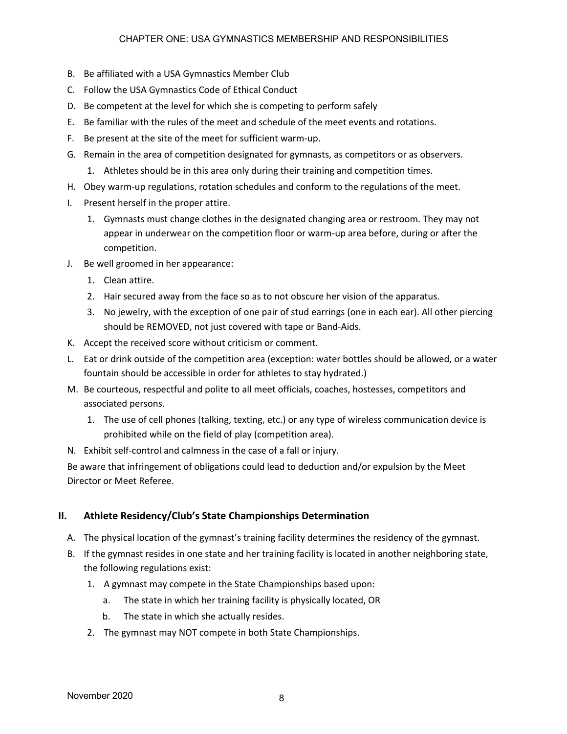#### CHAPTER ONE: USA GYMNASTICS MEMBERSHIP AND RESPONSIBILITIES

- B. Be affiliated with a USA Gymnastics Member Club
- C. Follow the USA Gymnastics Code of Ethical Conduct
- D. Be competent at the level for which she is competing to perform safely
- E. Be familiar with the rules of the meet and schedule of the meet events and rotations.
- F. Be present at the site of the meet for sufficient warm-up.
- G. Remain in the area of competition designated for gymnasts, as competitors or as observers.
	- 1. Athletes should be in this area only during their training and competition times.
- H. Obey warm-up regulations, rotation schedules and conform to the regulations of the meet.
- I. Present herself in the proper attire.
	- 1. Gymnasts must change clothes in the designated changing area or restroom. They may not appear in underwear on the competition floor or warm-up area before, during or after the competition.
- J. Be well groomed in her appearance:
	- 1. Clean attire.
	- 2. Hair secured away from the face so as to not obscure her vision of the apparatus.
	- 3. No jewelry, with the exception of one pair of stud earrings (one in each ear). All other piercing should be REMOVED, not just covered with tape or Band-Aids.
- K. Accept the received score without criticism or comment.
- L. Eat or drink outside of the competition area (exception: water bottles should be allowed, or a water fountain should be accessible in order for athletes to stay hydrated.)
- M. Be courteous, respectful and polite to all meet officials, coaches, hostesses, competitors and associated persons.
	- 1. The use of cell phones (talking, texting, etc.) or any type of wireless communication device is prohibited while on the field of play (competition area).
- N. Exhibit self-control and calmness in the case of a fall or injury.

Be aware that infringement of obligations could lead to deduction and/or expulsion by the Meet Director or Meet Referee.

#### **II. Athlete Residency/Club's State Championships Determination**

- A. The physical location of the gymnast's training facility determines the residency of the gymnast.
- B. If the gymnast resides in one state and her training facility is located in another neighboring state, the following regulations exist:
	- 1. A gymnast may compete in the State Championships based upon:
		- a. The state in which her training facility is physically located, OR
		- b. The state in which she actually resides.
	- 2. The gymnast may NOT compete in both State Championships.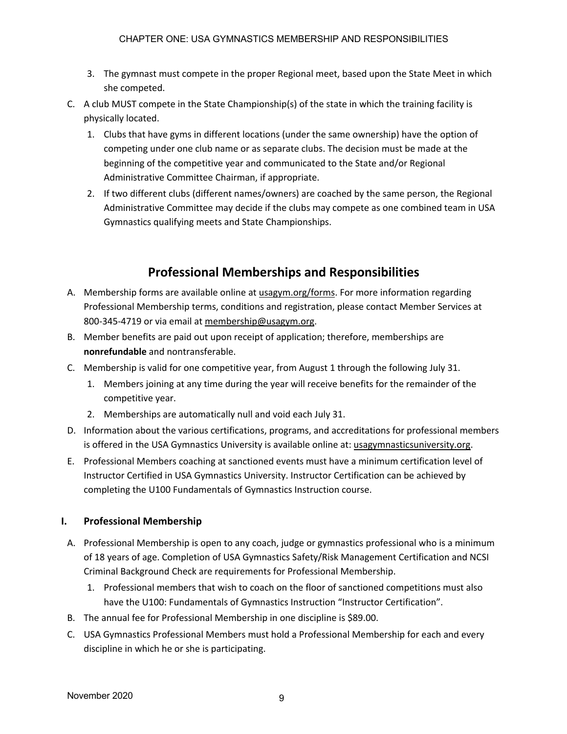- 3. The gymnast must compete in the proper Regional meet, based upon the State Meet in which she competed.
- C. A club MUST compete in the State Championship(s) of the state in which the training facility is physically located.
	- 1. Clubs that have gyms in different locations (under the same ownership) have the option of competing under one club name or as separate clubs. The decision must be made at the beginning of the competitive year and communicated to the State and/or Regional Administrative Committee Chairman, if appropriate.
	- 2. If two different clubs (different names/owners) are coached by the same person, the Regional Administrative Committee may decide if the clubs may compete as one combined team in USA Gymnastics qualifying meets and State Championships.

# **Professional Memberships and Responsibilities**

- A. Membership forms are available online at usagym.org/forms. For more information regarding Professional Membership terms, conditions and registration, please contact Member Services at 800-345-4719 or via email at membership@usagym.org.
- B. Member benefits are paid out upon receipt of application; therefore, memberships are **nonrefundable** and nontransferable.
- C. Membership is valid for one competitive year, from August 1 through the following July 31.
	- 1. Members joining at any time during the year will receive benefits for the remainder of the competitive year.
	- 2. Memberships are automatically null and void each July 31.
- D. Information about the various certifications, programs, and accreditations for professional members is offered in the USA Gymnastics University is available online at: usagymnasticsuniversity.org.
- E. Professional Members coaching at sanctioned events must have a minimum certification level of Instructor Certified in USA Gymnastics University. Instructor Certification can be achieved by completing the U100 Fundamentals of Gymnastics Instruction course.

# **I. Professional Membership**

- A. Professional Membership is open to any coach, judge or gymnastics professional who is a minimum of 18 years of age. Completion of USA Gymnastics Safety/Risk Management Certification and NCSI Criminal Background Check are requirements for Professional Membership.
	- 1. Professional members that wish to coach on the floor of sanctioned competitions must also have the U100: Fundamentals of Gymnastics Instruction "Instructor Certification".
- B. The annual fee for Professional Membership in one discipline is \$89.00.
- C. USA Gymnastics Professional Members must hold a Professional Membership for each and every discipline in which he or she is participating.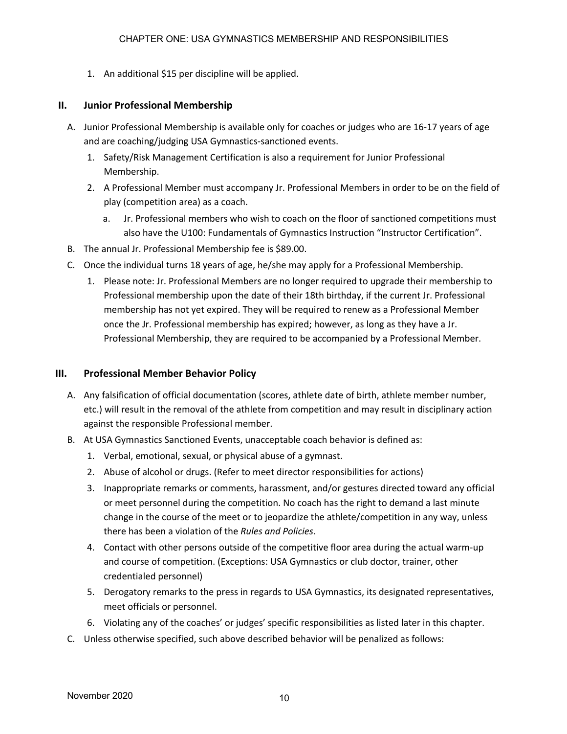1. An additional \$15 per discipline will be applied.

## **II. Junior Professional Membership**

- A. Junior Professional Membership is available only for coaches or judges who are 16-17 years of age and are coaching/judging USA Gymnastics-sanctioned events.
	- 1. Safety/Risk Management Certification is also a requirement for Junior Professional Membership.
	- 2. A Professional Member must accompany Jr. Professional Members in order to be on the field of play (competition area) as a coach.
		- a. Jr. Professional members who wish to coach on the floor of sanctioned competitions must also have the U100: Fundamentals of Gymnastics Instruction "Instructor Certification".
- B. The annual Jr. Professional Membership fee is \$89.00.
- C. Once the individual turns 18 years of age, he/she may apply for a Professional Membership.
	- 1. Please note: Jr. Professional Members are no longer required to upgrade their membership to Professional membership upon the date of their 18th birthday, if the current Jr. Professional membership has not yet expired. They will be required to renew as a Professional Member once the Jr. Professional membership has expired; however, as long as they have a Jr. Professional Membership, they are required to be accompanied by a Professional Member.

## **III. Professional Member Behavior Policy**

- A. Any falsification of official documentation (scores, athlete date of birth, athlete member number, etc.) will result in the removal of the athlete from competition and may result in disciplinary action against the responsible Professional member.
- B. At USA Gymnastics Sanctioned Events, unacceptable coach behavior is defined as:
	- 1. Verbal, emotional, sexual, or physical abuse of a gymnast.
	- 2. Abuse of alcohol or drugs. (Refer to meet director responsibilities for actions)
	- 3. Inappropriate remarks or comments, harassment, and/or gestures directed toward any official or meet personnel during the competition. No coach has the right to demand a last minute change in the course of the meet or to jeopardize the athlete/competition in any way, unless there has been a violation of the *Rules and Policies*.
	- 4. Contact with other persons outside of the competitive floor area during the actual warm-up and course of competition. (Exceptions: USA Gymnastics or club doctor, trainer, other credentialed personnel)
	- 5. Derogatory remarks to the press in regards to USA Gymnastics, its designated representatives, meet officials or personnel.
	- 6. Violating any of the coaches' or judges' specific responsibilities as listed later in this chapter.
- C. Unless otherwise specified, such above described behavior will be penalized as follows: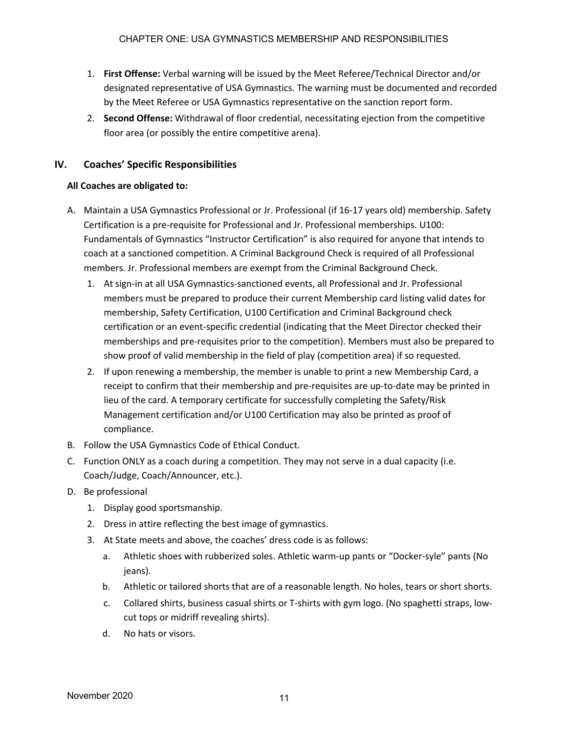- 1. **First Offense:** Verbal warning will be issued by the Meet Referee/Technical Director and/or designated representative of USA Gymnastics. The warning must be documented and recorded by the Meet Referee or USA Gymnastics representative on the sanction report form.
- 2. **Second Offense:** Withdrawal of floor credential, necessitating ejection from the competitive floor area (or possibly the entire competitive arena).

# **IV. Coaches' Specific Responsibilities**

### **All Coaches are obligated to:**

- A. Maintain a USA Gymnastics Professional or Jr. Professional (if 16-17 years old) membership. Safety Certification is a pre-requisite for Professional and Jr. Professional memberships. U100: Fundamentals of Gymnastics "Instructor Certification" is also required for anyone that intends to coach at a sanctioned competition. A Criminal Background Check is required of all Professional members. Jr. Professional members are exempt from the Criminal Background Check.
	- 1. At sign-in at all USA Gymnastics-sanctioned events, all Professional and Jr. Professional members must be prepared to produce their current Membership card listing valid dates for membership, Safety Certification, U100 Certification and Criminal Background check certification or an event-specific credential (indicating that the Meet Director checked their memberships and pre-requisites prior to the competition). Members must also be prepared to show proof of valid membership in the field of play (competition area) if so requested.
	- 2. If upon renewing a membership, the member is unable to print a new Membership Card, a receipt to confirm that their membership and pre-requisites are up-to-date may be printed in lieu of the card. A temporary certificate for successfully completing the Safety/Risk Management certification and/or U100 Certification may also be printed as proof of compliance.
- B. Follow the USA Gymnastics Code of Ethical Conduct.
- C. Function ONLY as a coach during a competition. They may not serve in a dual capacity (i.e. Coach/Judge, Coach/Announcer, etc.).
- D. Be professional
	- 1. Display good sportsmanship.
	- 2. Dress in attire reflecting the best image of gymnastics.
	- 3. At State meets and above, the coaches' dress code is as follows:
		- a. Athletic shoes with rubberized soles. Athletic warm-up pants or "Docker-syle" pants (No jeans).
		- b. Athletic or tailored shorts that are of a reasonable length. No holes, tears or short shorts.
		- c. Collared shirts, business casual shirts or T-shirts with gym logo. (No spaghetti straps, lowcut tops or midriff revealing shirts).
		- d. No hats or visors.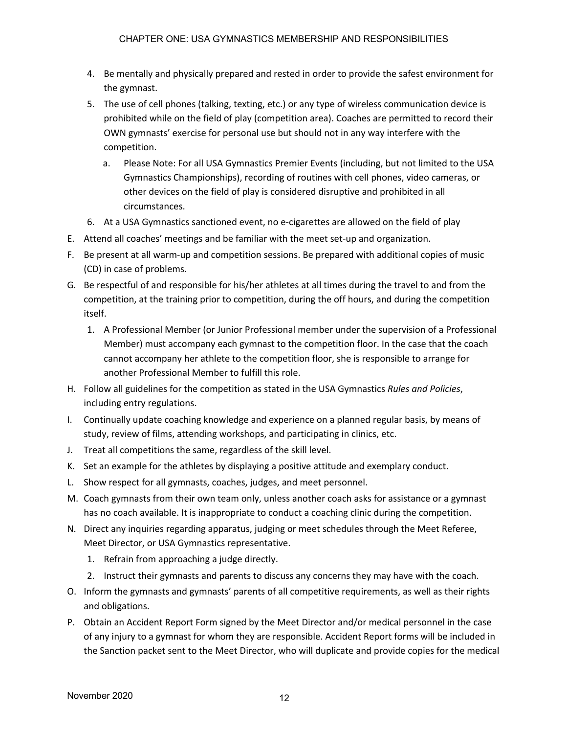- 4. Be mentally and physically prepared and rested in order to provide the safest environment for the gymnast.
- 5. The use of cell phones (talking, texting, etc.) or any type of wireless communication device is prohibited while on the field of play (competition area). Coaches are permitted to record their OWN gymnasts' exercise for personal use but should not in any way interfere with the competition.
	- a. Please Note: For all USA Gymnastics Premier Events (including, but not limited to the USA Gymnastics Championships), recording of routines with cell phones, video cameras, or other devices on the field of play is considered disruptive and prohibited in all circumstances.
- 6. At a USA Gymnastics sanctioned event, no e-cigarettes are allowed on the field of play
- E. Attend all coaches' meetings and be familiar with the meet set-up and organization.
- F. Be present at all warm-up and competition sessions. Be prepared with additional copies of music (CD) in case of problems.
- G. Be respectful of and responsible for his/her athletes at all times during the travel to and from the competition, at the training prior to competition, during the off hours, and during the competition itself.
	- 1. A Professional Member (or Junior Professional member under the supervision of a Professional Member) must accompany each gymnast to the competition floor. In the case that the coach cannot accompany her athlete to the competition floor, she is responsible to arrange for another Professional Member to fulfill this role.
- H. Follow all guidelines for the competition as stated in the USA Gymnastics *Rules and Policies*, including entry regulations.
- I. Continually update coaching knowledge and experience on a planned regular basis, by means of study, review of films, attending workshops, and participating in clinics, etc.
- J. Treat all competitions the same, regardless of the skill level.
- K. Set an example for the athletes by displaying a positive attitude and exemplary conduct.
- L. Show respect for all gymnasts, coaches, judges, and meet personnel.
- M. Coach gymnasts from their own team only, unless another coach asks for assistance or a gymnast has no coach available. It is inappropriate to conduct a coaching clinic during the competition.
- N. Direct any inquiries regarding apparatus, judging or meet schedules through the Meet Referee, Meet Director, or USA Gymnastics representative.
	- 1. Refrain from approaching a judge directly.
	- 2. Instruct their gymnasts and parents to discuss any concerns they may have with the coach.
- O. Inform the gymnasts and gymnasts' parents of all competitive requirements, as well as their rights and obligations.
- P. Obtain an Accident Report Form signed by the Meet Director and/or medical personnel in the case of any injury to a gymnast for whom they are responsible. Accident Report forms will be included in the Sanction packet sent to the Meet Director, who will duplicate and provide copies for the medical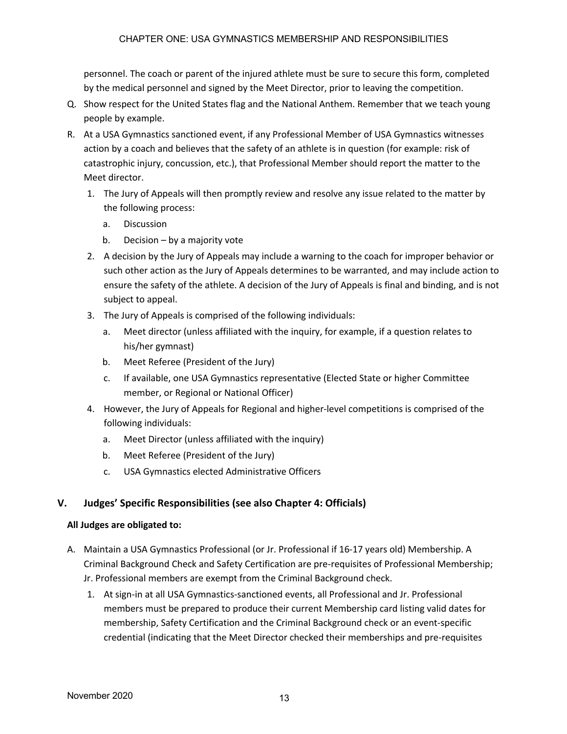personnel. The coach or parent of the injured athlete must be sure to secure this form, completed by the medical personnel and signed by the Meet Director, prior to leaving the competition.

- Q. Show respect for the United States flag and the National Anthem. Remember that we teach young people by example.
- R. At a USA Gymnastics sanctioned event, if any Professional Member of USA Gymnastics witnesses action by a coach and believes that the safety of an athlete is in question (for example: risk of catastrophic injury, concussion, etc.), that Professional Member should report the matter to the Meet director.
	- 1. The Jury of Appeals will then promptly review and resolve any issue related to the matter by the following process:
		- a. Discussion
		- b. Decision by a majority vote
	- 2. A decision by the Jury of Appeals may include a warning to the coach for improper behavior or such other action as the Jury of Appeals determines to be warranted, and may include action to ensure the safety of the athlete. A decision of the Jury of Appeals is final and binding, and is not subject to appeal.
	- 3. The Jury of Appeals is comprised of the following individuals:
		- a. Meet director (unless affiliated with the inquiry, for example, if a question relates to his/her gymnast)
		- b. Meet Referee (President of the Jury)
		- c. If available, one USA Gymnastics representative (Elected State or higher Committee member, or Regional or National Officer)
	- 4. However, the Jury of Appeals for Regional and higher-level competitions is comprised of the following individuals:
		- a. Meet Director (unless affiliated with the inquiry)
		- b. Meet Referee (President of the Jury)
		- c. USA Gymnastics elected Administrative Officers

# **V. Judges' Specific Responsibilities (see also Chapter 4: Officials)**

#### **All Judges are obligated to:**

- A. Maintain a USA Gymnastics Professional (or Jr. Professional if 16-17 years old) Membership. A Criminal Background Check and Safety Certification are pre-requisites of Professional Membership; Jr. Professional members are exempt from the Criminal Background check.
	- 1. At sign-in at all USA Gymnastics-sanctioned events, all Professional and Jr. Professional members must be prepared to produce their current Membership card listing valid dates for membership, Safety Certification and the Criminal Background check or an event-specific credential (indicating that the Meet Director checked their memberships and pre-requisites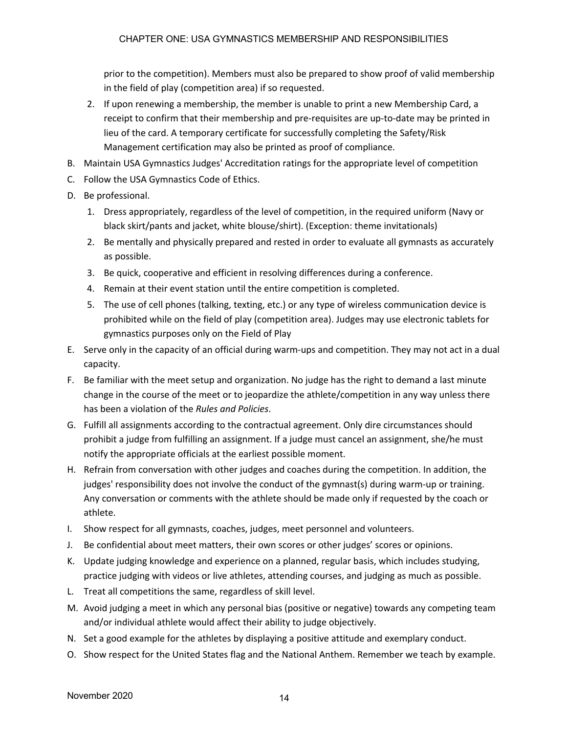prior to the competition). Members must also be prepared to show proof of valid membership in the field of play (competition area) if so requested.

- 2. If upon renewing a membership, the member is unable to print a new Membership Card, a receipt to confirm that their membership and pre-requisites are up-to-date may be printed in lieu of the card. A temporary certificate for successfully completing the Safety/Risk Management certification may also be printed as proof of compliance.
- B. Maintain USA Gymnastics Judges' Accreditation ratings for the appropriate level of competition
- C. Follow the USA Gymnastics Code of Ethics.
- D. Be professional.
	- 1. Dress appropriately, regardless of the level of competition, in the required uniform (Navy or black skirt/pants and jacket, white blouse/shirt). (Exception: theme invitationals)
	- 2. Be mentally and physically prepared and rested in order to evaluate all gymnasts as accurately as possible.
	- 3. Be quick, cooperative and efficient in resolving differences during a conference.
	- 4. Remain at their event station until the entire competition is completed.
	- 5. The use of cell phones (talking, texting, etc.) or any type of wireless communication device is prohibited while on the field of play (competition area). Judges may use electronic tablets for gymnastics purposes only on the Field of Play
- E. Serve only in the capacity of an official during warm-ups and competition. They may not act in a dual capacity.
- F. Be familiar with the meet setup and organization. No judge has the right to demand a last minute change in the course of the meet or to jeopardize the athlete/competition in any way unless there has been a violation of the *Rules and Policies*.
- G. Fulfill all assignments according to the contractual agreement. Only dire circumstances should prohibit a judge from fulfilling an assignment. If a judge must cancel an assignment, she/he must notify the appropriate officials at the earliest possible moment.
- H. Refrain from conversation with other judges and coaches during the competition. In addition, the judges' responsibility does not involve the conduct of the gymnast(s) during warm-up or training. Any conversation or comments with the athlete should be made only if requested by the coach or athlete.
- I. Show respect for all gymnasts, coaches, judges, meet personnel and volunteers.
- J. Be confidential about meet matters, their own scores or other judges' scores or opinions.
- K. Update judging knowledge and experience on a planned, regular basis, which includes studying, practice judging with videos or live athletes, attending courses, and judging as much as possible.
- L. Treat all competitions the same, regardless of skill level.
- M. Avoid judging a meet in which any personal bias (positive or negative) towards any competing team and/or individual athlete would affect their ability to judge objectively.
- N. Set a good example for the athletes by displaying a positive attitude and exemplary conduct.
- O. Show respect for the United States flag and the National Anthem. Remember we teach by example.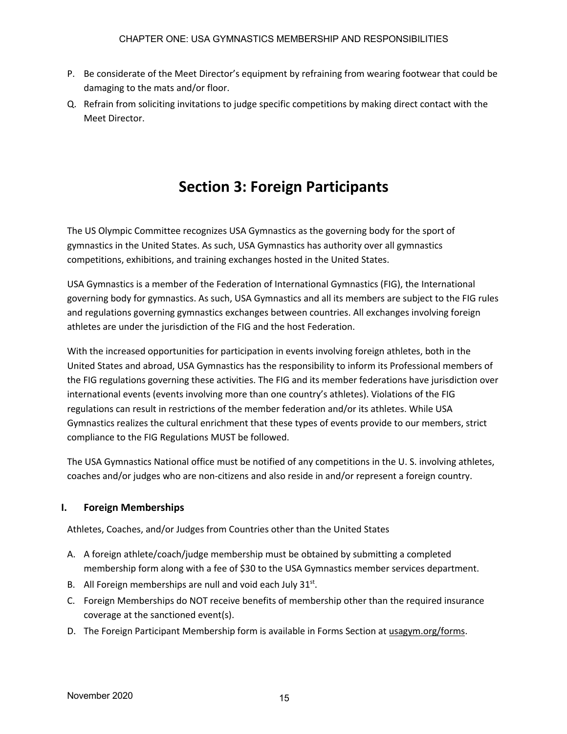- P. Be considerate of the Meet Director's equipment by refraining from wearing footwear that could be damaging to the mats and/or floor.
- Q. Refrain from soliciting invitations to judge specific competitions by making direct contact with the Meet Director.

# **Section 3: Foreign Participants**

The US Olympic Committee recognizes USA Gymnastics as the governing body for the sport of gymnastics in the United States. As such, USA Gymnastics has authority over all gymnastics competitions, exhibitions, and training exchanges hosted in the United States.

USA Gymnastics is a member of the Federation of International Gymnastics (FIG), the International governing body for gymnastics. As such, USA Gymnastics and all its members are subject to the FIG rules and regulations governing gymnastics exchanges between countries. All exchanges involving foreign athletes are under the jurisdiction of the FIG and the host Federation.

With the increased opportunities for participation in events involving foreign athletes, both in the United States and abroad, USA Gymnastics has the responsibility to inform its Professional members of the FIG regulations governing these activities. The FIG and its member federations have jurisdiction over international events (events involving more than one country's athletes). Violations of the FIG regulations can result in restrictions of the member federation and/or its athletes. While USA Gymnastics realizes the cultural enrichment that these types of events provide to our members, strict compliance to the FIG Regulations MUST be followed.

The USA Gymnastics National office must be notified of any competitions in the U. S. involving athletes, coaches and/or judges who are non-citizens and also reside in and/or represent a foreign country.

# **I. Foreign Memberships**

Athletes, Coaches, and/or Judges from Countries other than the United States

- A. A foreign athlete/coach/judge membership must be obtained by submitting a completed membership form along with a fee of \$30 to the USA Gymnastics member services department.
- B. All Foreign memberships are null and void each July  $31^{st}$ .
- C. Foreign Memberships do NOT receive benefits of membership other than the required insurance coverage at the sanctioned event(s).
- D. The Foreign Participant Membership form is available in Forms Section at usagym.org/forms.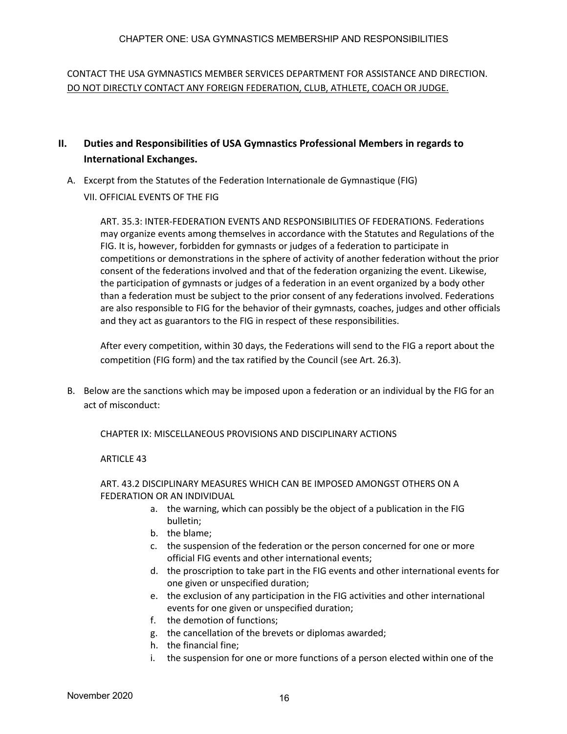CONTACT THE USA GYMNASTICS MEMBER SERVICES DEPARTMENT FOR ASSISTANCE AND DIRECTION. DO NOT DIRECTLY CONTACT ANY FOREIGN FEDERATION, CLUB, ATHLETE, COACH OR JUDGE.

- **II. Duties and Responsibilities of USA Gymnastics Professional Members in regards to International Exchanges.**
	- A. Excerpt from the Statutes of the Federation Internationale de Gymnastique (FIG) VII. OFFICIAL EVENTS OF THE FIG

ART. 35.3: INTER-FEDERATION EVENTS AND RESPONSIBILITIES OF FEDERATIONS. Federations may organize events among themselves in accordance with the Statutes and Regulations of the FIG. It is, however, forbidden for gymnasts or judges of a federation to participate in competitions or demonstrations in the sphere of activity of another federation without the prior consent of the federations involved and that of the federation organizing the event. Likewise, the participation of gymnasts or judges of a federation in an event organized by a body other than a federation must be subject to the prior consent of any federations involved. Federations are also responsible to FIG for the behavior of their gymnasts, coaches, judges and other officials and they act as guarantors to the FIG in respect of these responsibilities.

After every competition, within 30 days, the Federations will send to the FIG a report about the competition (FIG form) and the tax ratified by the Council (see Art. 26.3).

B. Below are the sanctions which may be imposed upon a federation or an individual by the FIG for an act of misconduct:

CHAPTER IX: MISCELLANEOUS PROVISIONS AND DISCIPLINARY ACTIONS

#### ARTICLE 43

#### ART. 43.2 DISCIPLINARY MEASURES WHICH CAN BE IMPOSED AMONGST OTHERS ON A FEDERATION OR AN INDIVIDUAL

- a. the warning, which can possibly be the object of a publication in the FIG bulletin;
- b. the blame;
- c. the suspension of the federation or the person concerned for one or more official FIG events and other international events;
- d. the proscription to take part in the FIG events and other international events for one given or unspecified duration;
- e. the exclusion of any participation in the FIG activities and other international events for one given or unspecified duration;
- f. the demotion of functions;
- g. the cancellation of the brevets or diplomas awarded;
- h. the financial fine;
- i. the suspension for one or more functions of a person elected within one of the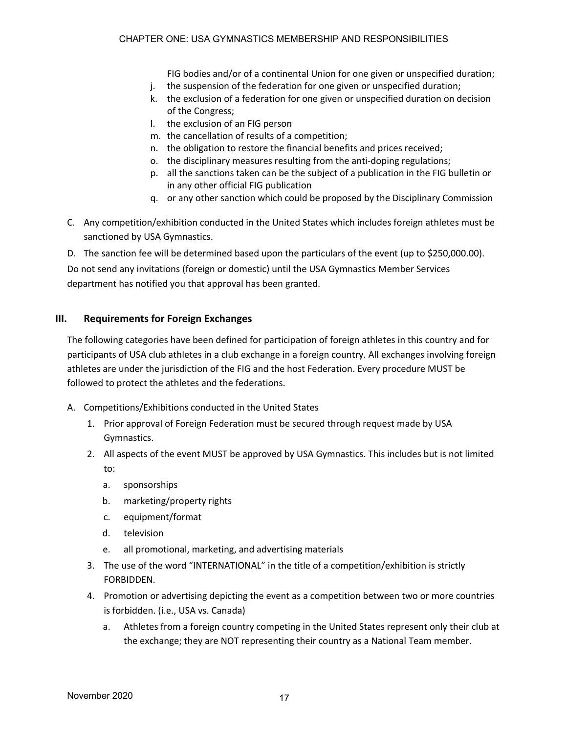FIG bodies and/or of a continental Union for one given or unspecified duration;

- j. the suspension of the federation for one given or unspecified duration;
- k. the exclusion of a federation for one given or unspecified duration on decision of the Congress;
- l. the exclusion of an FIG person
- m. the cancellation of results of a competition;
- n. the obligation to restore the financial benefits and prices received;
- o. the disciplinary measures resulting from the anti-doping regulations;
- p. all the sanctions taken can be the subject of a publication in the FIG bulletin or in any other official FIG publication
- q. or any other sanction which could be proposed by the Disciplinary Commission
- C. Any competition/exhibition conducted in the United States which includes foreign athletes must be sanctioned by USA Gymnastics.
- D. The sanction fee will be determined based upon the particulars of the event (up to \$250,000.00).

Do not send any invitations (foreign or domestic) until the USA Gymnastics Member Services department has notified you that approval has been granted.

#### **III. Requirements for Foreign Exchanges**

The following categories have been defined for participation of foreign athletes in this country and for participants of USA club athletes in a club exchange in a foreign country. All exchanges involving foreign athletes are under the jurisdiction of the FIG and the host Federation. Every procedure MUST be followed to protect the athletes and the federations.

- A. Competitions/Exhibitions conducted in the United States
	- 1. Prior approval of Foreign Federation must be secured through request made by USA Gymnastics.
	- 2. All aspects of the event MUST be approved by USA Gymnastics. This includes but is not limited to:
		- a. sponsorships
		- b. marketing/property rights
		- c. equipment/format
		- d. television
		- e. all promotional, marketing, and advertising materials
	- 3. The use of the word "INTERNATIONAL" in the title of a competition/exhibition is strictly FORBIDDEN.
	- 4. Promotion or advertising depicting the event as a competition between two or more countries is forbidden. (i.e., USA vs. Canada)
		- a. Athletes from a foreign country competing in the United States represent only their club at the exchange; they are NOT representing their country as a National Team member.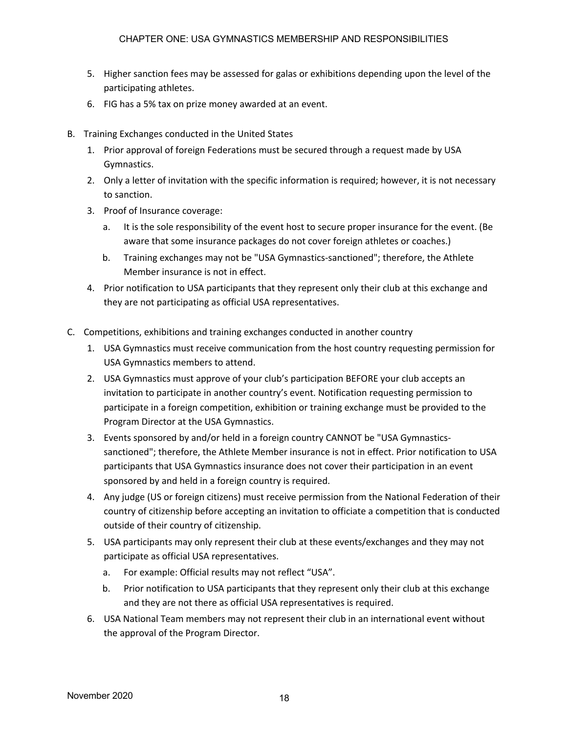- 5. Higher sanction fees may be assessed for galas or exhibitions depending upon the level of the participating athletes.
- 6. FIG has a 5% tax on prize money awarded at an event.
- B. Training Exchanges conducted in the United States
	- 1. Prior approval of foreign Federations must be secured through a request made by USA Gymnastics.
	- 2. Only a letter of invitation with the specific information is required; however, it is not necessary to sanction.
	- 3. Proof of Insurance coverage:
		- a. It is the sole responsibility of the event host to secure proper insurance for the event. (Be aware that some insurance packages do not cover foreign athletes or coaches.)
		- b. Training exchanges may not be "USA Gymnastics-sanctioned"; therefore, the Athlete Member insurance is not in effect.
	- 4. Prior notification to USA participants that they represent only their club at this exchange and they are not participating as official USA representatives.
- C. Competitions, exhibitions and training exchanges conducted in another country
	- 1. USA Gymnastics must receive communication from the host country requesting permission for USA Gymnastics members to attend.
	- 2. USA Gymnastics must approve of your club's participation BEFORE your club accepts an invitation to participate in another country's event. Notification requesting permission to participate in a foreign competition, exhibition or training exchange must be provided to the Program Director at the USA Gymnastics.
	- 3. Events sponsored by and/or held in a foreign country CANNOT be "USA Gymnasticssanctioned"; therefore, the Athlete Member insurance is not in effect. Prior notification to USA participants that USA Gymnastics insurance does not cover their participation in an event sponsored by and held in a foreign country is required.
	- 4. Any judge (US or foreign citizens) must receive permission from the National Federation of their country of citizenship before accepting an invitation to officiate a competition that is conducted outside of their country of citizenship.
	- 5. USA participants may only represent their club at these events/exchanges and they may not participate as official USA representatives.
		- a. For example: Official results may not reflect "USA".
		- b. Prior notification to USA participants that they represent only their club at this exchange and they are not there as official USA representatives is required.
	- 6. USA National Team members may not represent their club in an international event without the approval of the Program Director.